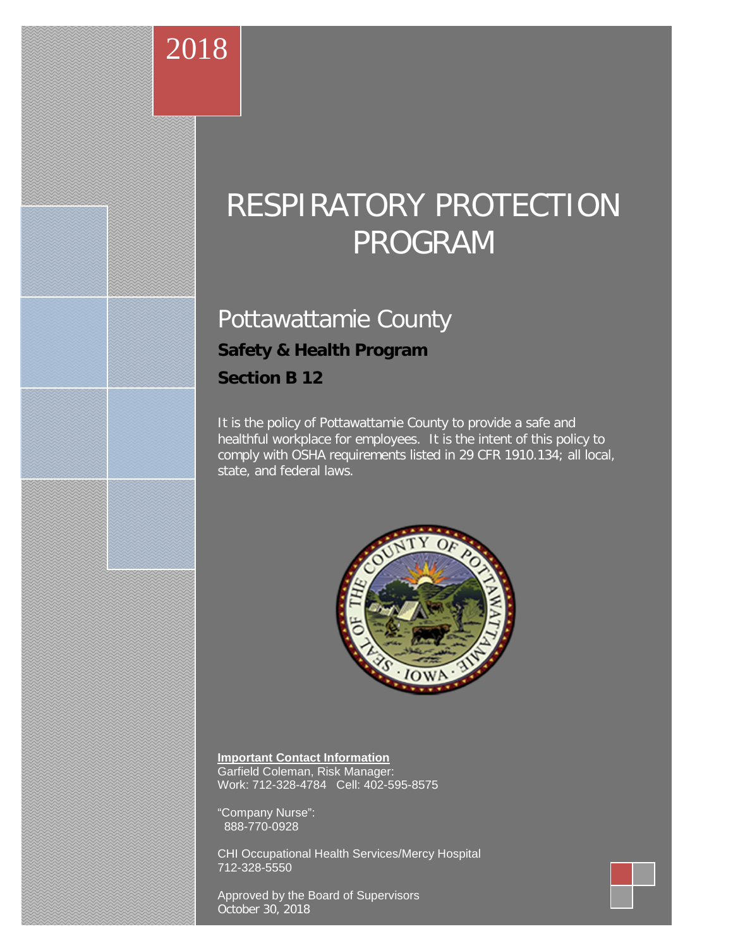# Pottawattamie County

# **Safety & Health Program**

**Section B 12**

2018

It is the policy of Pottawattamie County to provide a safe and healthful workplace for employees. It is the intent of this policy to comply with OSHA requirements listed in 29 CFR 1910.134; all local, state, and federal laws.



**Important Contact Information** Garfield Coleman, Risk Manager: Work: 712-328-4784 Cell: 402-595-8575

"Company Nurse": 888-770-0928

CHI Occupational Health Services/Mercy Hospital 712-328-5550

Approved by the Board of Supervisors October 30, 2018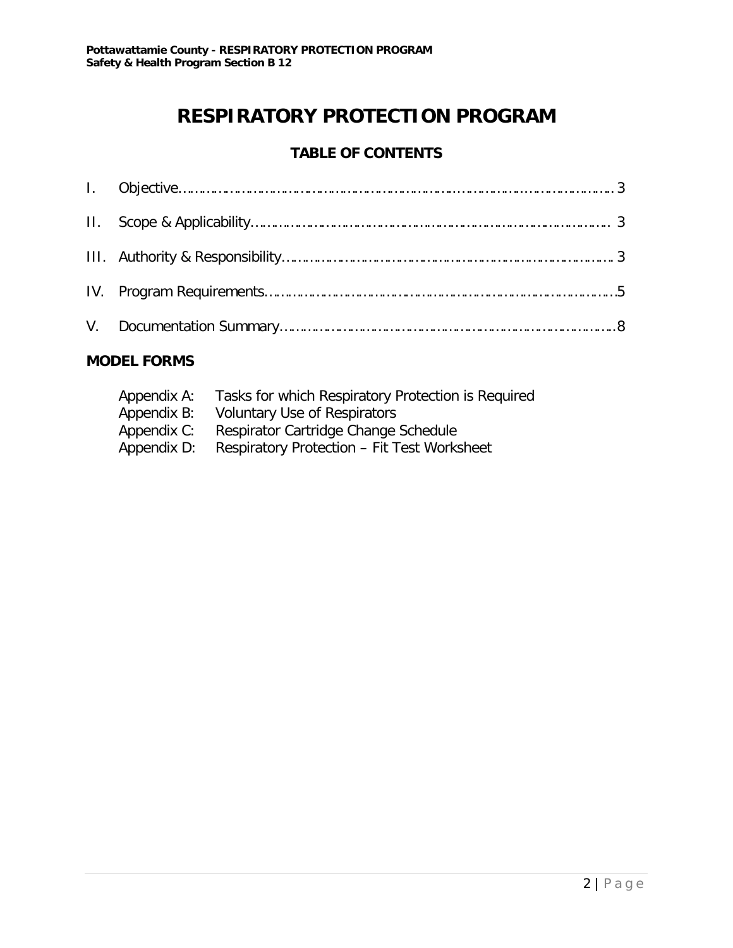# **TABLE OF CONTENTS**

# **MODEL FORMS**

| Appendix A: | Tasks for which Respiratory Protection is Required |
|-------------|----------------------------------------------------|
| Appendix B: | Voluntary Use of Respirators                       |
| Appendix C: | Respirator Cartridge Change Schedule               |
| Appendix D: | Respiratory Protection - Fit Test Worksheet        |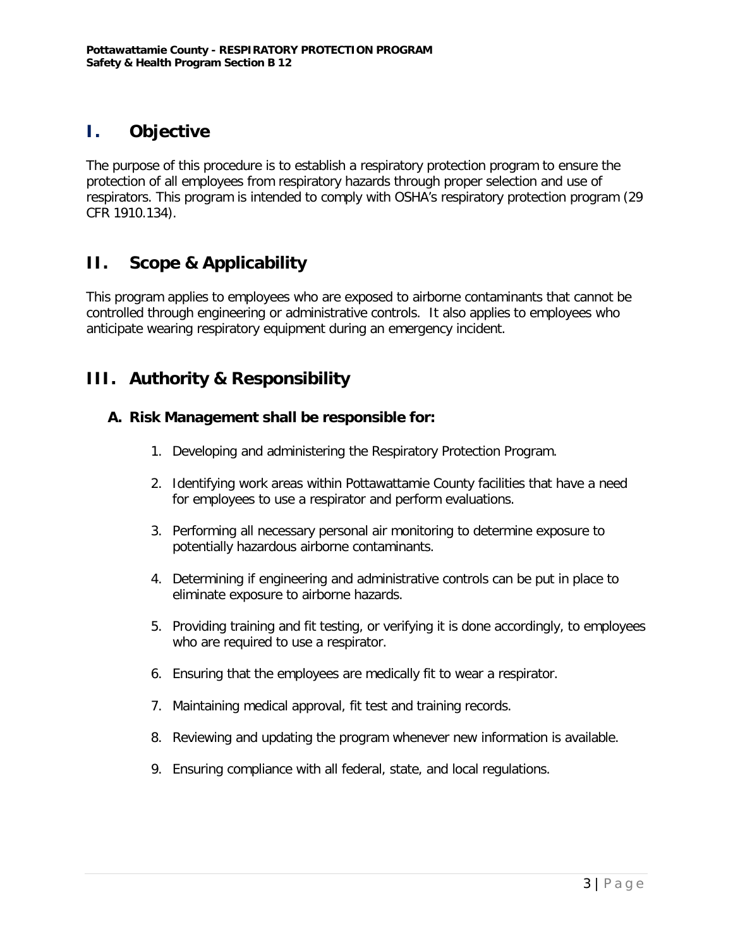# **I. Objective**

The purpose of this procedure is to establish a respiratory protection program to ensure the protection of all employees from respiratory hazards through proper selection and use of respirators. This program is intended to comply with OSHA's respiratory protection program (29 CFR 1910.134).

# **II. Scope & Applicability**

This program applies to employees who are exposed to airborne contaminants that cannot be controlled through engineering or administrative controls. It also applies to employees who anticipate wearing respiratory equipment during an emergency incident.

# **III. Authority & Responsibility**

### **A. Risk Management shall be responsible for:**

- 1. Developing and administering the Respiratory Protection Program.
- 2. Identifying work areas within Pottawattamie County facilities that have a need for employees to use a respirator and perform evaluations.
- 3. Performing all necessary personal air monitoring to determine exposure to potentially hazardous airborne contaminants.
- 4. Determining if engineering and administrative controls can be put in place to eliminate exposure to airborne hazards.
- 5. Providing training and fit testing, or verifying it is done accordingly, to employees who are required to use a respirator.
- 6. Ensuring that the employees are medically fit to wear a respirator.
- 7. Maintaining medical approval, fit test and training records.
- 8. Reviewing and updating the program whenever new information is available.
- 9. Ensuring compliance with all federal, state, and local regulations.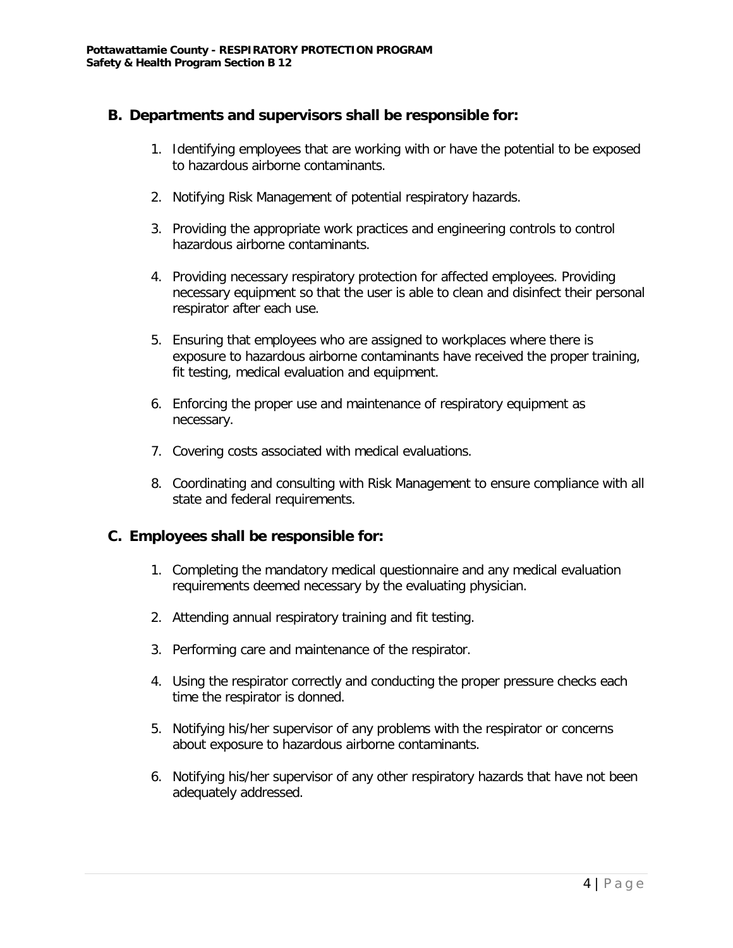### **B. Departments and supervisors shall be responsible for:**

- 1. Identifying employees that are working with or have the potential to be exposed to hazardous airborne contaminants.
- 2. Notifying Risk Management of potential respiratory hazards.
- 3. Providing the appropriate work practices and engineering controls to control hazardous airborne contaminants.
- 4. Providing necessary respiratory protection for affected employees. Providing necessary equipment so that the user is able to clean and disinfect their personal respirator after each use.
- 5. Ensuring that employees who are assigned to workplaces where there is exposure to hazardous airborne contaminants have received the proper training, fit testing, medical evaluation and equipment.
- 6. Enforcing the proper use and maintenance of respiratory equipment as necessary.
- 7. Covering costs associated with medical evaluations.
- 8. Coordinating and consulting with Risk Management to ensure compliance with all state and federal requirements.

### **C. Employees shall be responsible for:**

- 1. Completing the mandatory medical questionnaire and any medical evaluation requirements deemed necessary by the evaluating physician.
- 2. Attending annual respiratory training and fit testing.
- 3. Performing care and maintenance of the respirator.
- 4. Using the respirator correctly and conducting the proper pressure checks each time the respirator is donned.
- 5. Notifying his/her supervisor of any problems with the respirator or concerns about exposure to hazardous airborne contaminants.
- 6. Notifying his/her supervisor of any other respiratory hazards that have not been adequately addressed.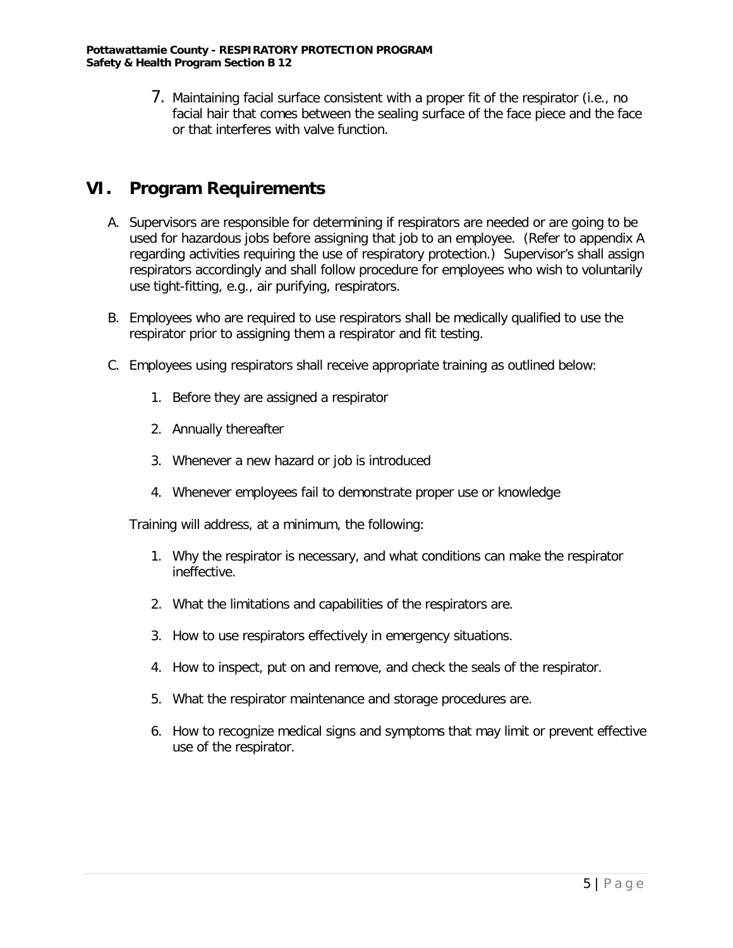7. Maintaining facial surface consistent with a proper fit of the respirator (i.e., no facial hair that comes between the sealing surface of the face piece and the face or that interferes with valve function.

# **VI. Program Requirements**

- A. Supervisors are responsible for determining if respirators are needed or are going to be used for hazardous jobs before assigning that job to an employee. (Refer to appendix A regarding activities requiring the use of respiratory protection.) Supervisor's shall assign respirators accordingly and shall follow procedure for employees who wish to voluntarily use tight-fitting, e.g., air purifying, respirators.
- B. Employees who are required to use respirators shall be medically qualified to use the respirator prior to assigning them a respirator and fit testing.
- C. Employees using respirators shall receive appropriate training as outlined below:
	- 1. Before they are assigned a respirator
	- 2. Annually thereafter
	- 3. Whenever a new hazard or job is introduced
	- 4. Whenever employees fail to demonstrate proper use or knowledge

Training will address, at a minimum, the following:

- 1. Why the respirator is necessary, and what conditions can make the respirator ineffective.
- 2. What the limitations and capabilities of the respirators are.
- 3. How to use respirators effectively in emergency situations.
- 4. How to inspect, put on and remove, and check the seals of the respirator.
- 5. What the respirator maintenance and storage procedures are.
- 6. How to recognize medical signs and symptoms that may limit or prevent effective use of the respirator.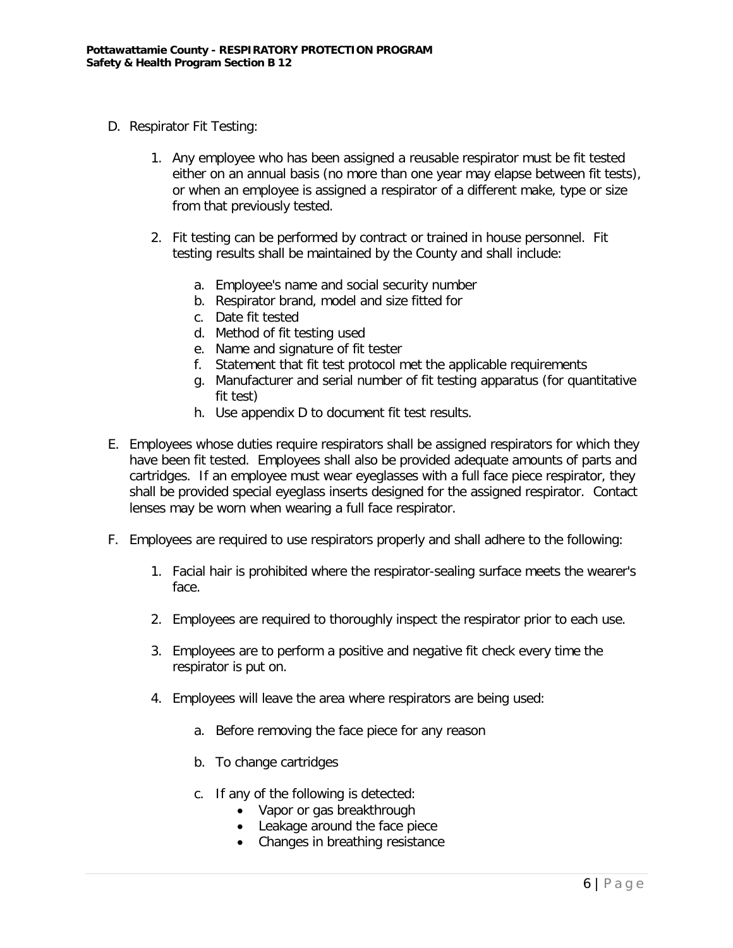- D. Respirator Fit Testing:
	- 1. Any employee who has been assigned a reusable respirator must be fit tested either on an annual basis (no more than one year may elapse between fit tests), or when an employee is assigned a respirator of a different make, type or size from that previously tested.
	- 2. Fit testing can be performed by contract or trained in house personnel. Fit testing results shall be maintained by the County and shall include:
		- a. Employee's name and social security number
		- b. Respirator brand, model and size fitted for
		- c. Date fit tested
		- d. Method of fit testing used
		- e. Name and signature of fit tester
		- f. Statement that fit test protocol met the applicable requirements
		- g. Manufacturer and serial number of fit testing apparatus (for quantitative fit test)
		- h. Use appendix D to document fit test results.
- E. Employees whose duties require respirators shall be assigned respirators for which they have been fit tested. Employees shall also be provided adequate amounts of parts and cartridges. If an employee must wear eyeglasses with a full face piece respirator, they shall be provided special eyeglass inserts designed for the assigned respirator. Contact lenses may be worn when wearing a full face respirator.
- F. Employees are required to use respirators properly and shall adhere to the following:
	- 1. Facial hair is prohibited where the respirator-sealing surface meets the wearer's face.
	- 2. Employees are required to thoroughly inspect the respirator prior to each use.
	- 3. Employees are to perform a positive and negative fit check every time the respirator is put on.
	- 4. Employees will leave the area where respirators are being used:
		- a. Before removing the face piece for any reason
		- b. To change cartridges
		- c. If any of the following is detected:
			- Vapor or gas breakthrough
			- Leakage around the face piece
			- Changes in breathing resistance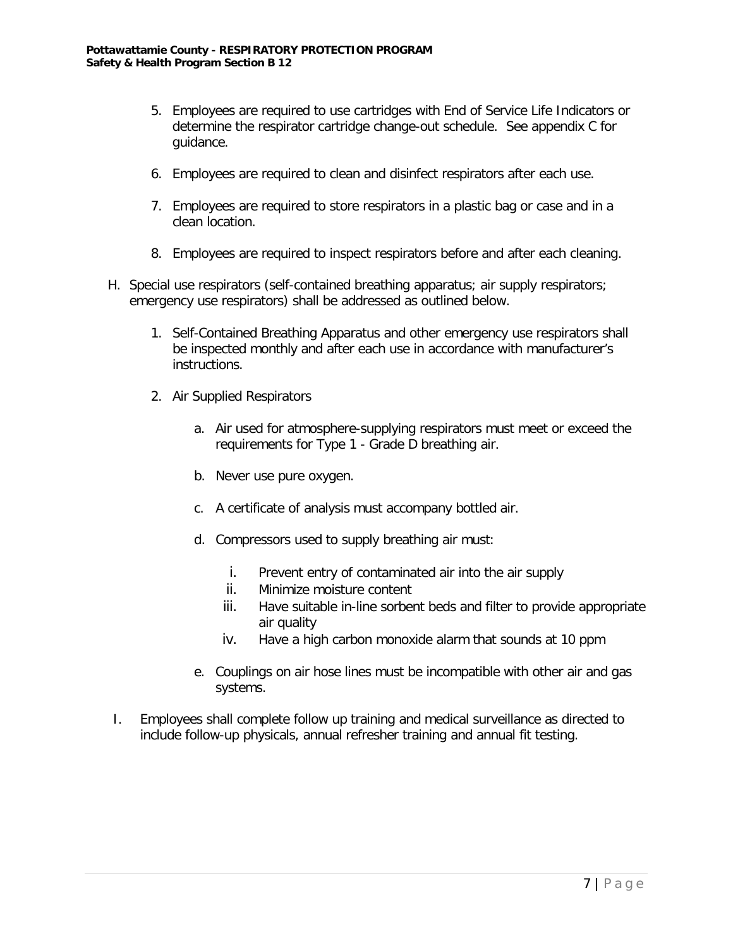- 5. Employees are required to use cartridges with End of Service Life Indicators or determine the respirator cartridge change-out schedule. See appendix C for guidance.
- 6. Employees are required to clean and disinfect respirators after each use.
- 7. Employees are required to store respirators in a plastic bag or case and in a clean location.
- 8. Employees are required to inspect respirators before and after each cleaning.
- H. Special use respirators (self-contained breathing apparatus; air supply respirators; emergency use respirators) shall be addressed as outlined below.
	- 1. Self-Contained Breathing Apparatus and other emergency use respirators shall be inspected monthly and after each use in accordance with manufacturer's instructions.
	- 2. Air Supplied Respirators
		- a. Air used for atmosphere-supplying respirators must meet or exceed the requirements for Type 1 - Grade D breathing air.
		- b. Never use pure oxygen.
		- c. A certificate of analysis must accompany bottled air.
		- d. Compressors used to supply breathing air must:
			- i. Prevent entry of contaminated air into the air supply
			- ii. Minimize moisture content
			- iii. Have suitable in-line sorbent beds and filter to provide appropriate air quality
			- iv. Have a high carbon monoxide alarm that sounds at 10 ppm
		- e. Couplings on air hose lines must be incompatible with other air and gas systems.
- I. Employees shall complete follow up training and medical surveillance as directed to include follow-up physicals, annual refresher training and annual fit testing.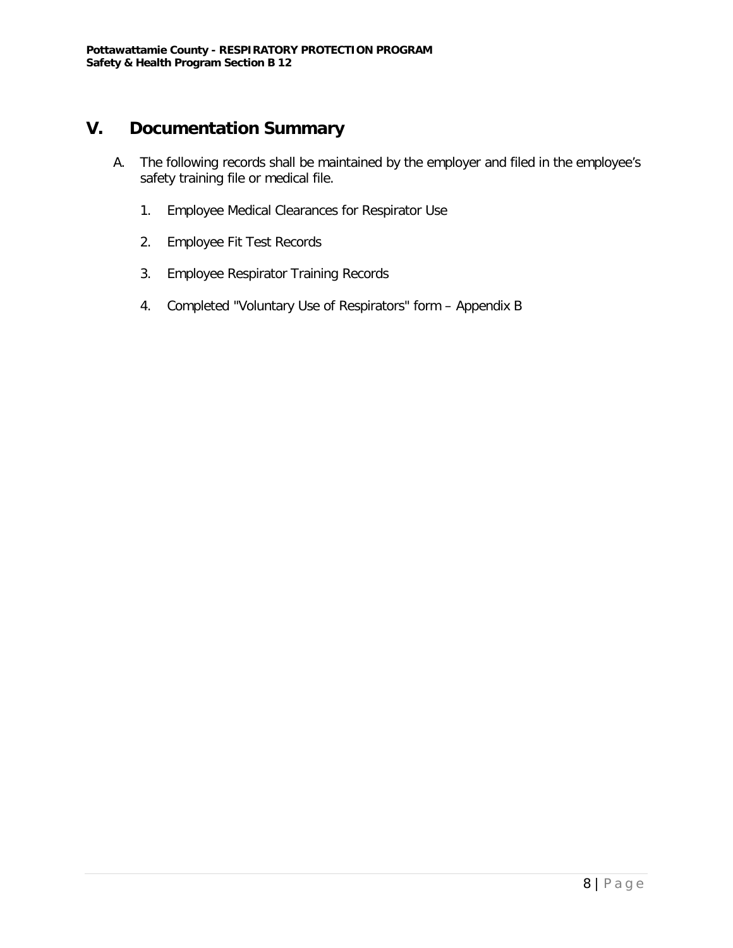# **V. Documentation Summary**

- A. The following records shall be maintained by the employer and filed in the employee's safety training file or medical file.
	- 1. Employee Medical Clearances for Respirator Use
	- 2. Employee Fit Test Records
	- 3. Employee Respirator Training Records
	- 4. Completed "Voluntary Use of Respirators" form Appendix B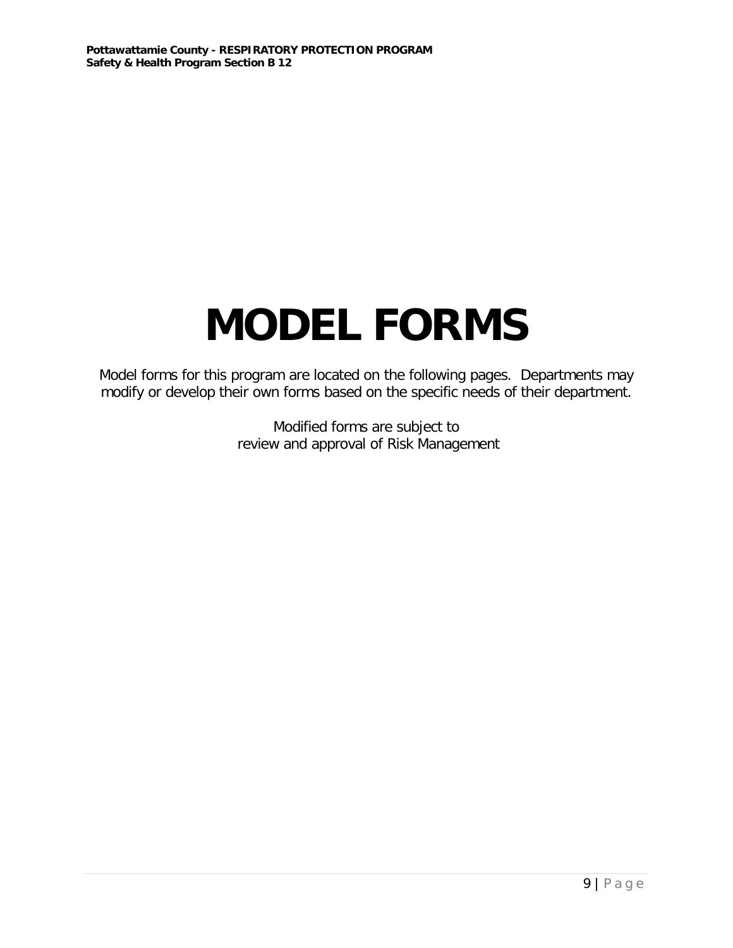# **MODEL FORMS**

Model forms for this program are located on the following pages. Departments may modify or develop their own forms based on the specific needs of their department.

> Modified forms are subject to review and approval of Risk Management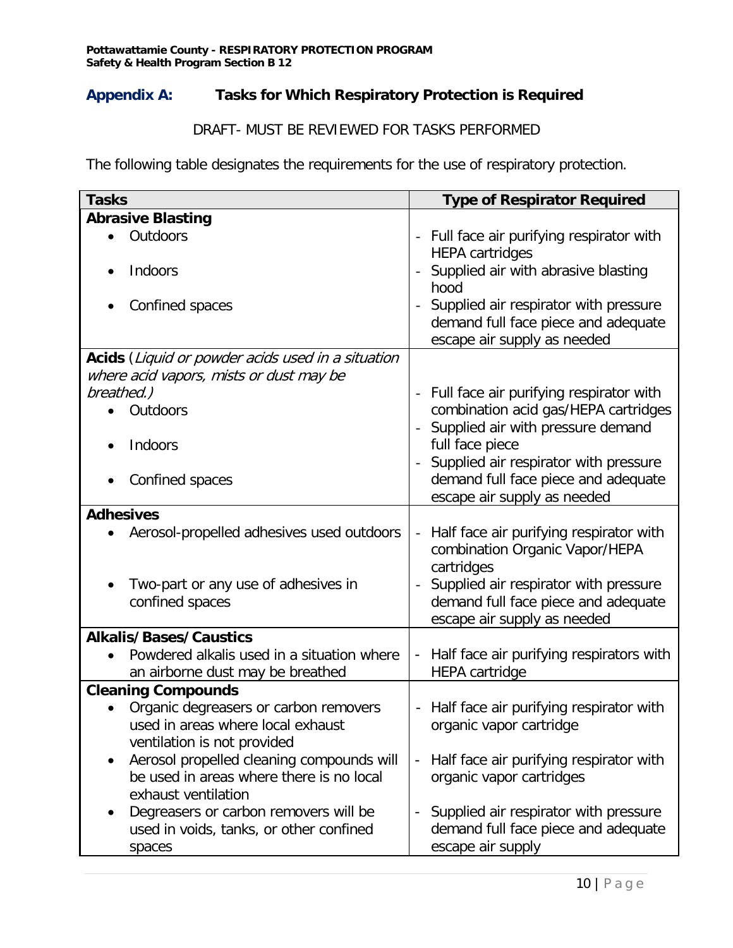## **Appendix A: Tasks for Which Respiratory Protection is Required**

### DRAFT- MUST BE REVIEWED FOR TASKS PERFORMED

The following table designates the requirements for the use of respiratory protection.

| <b>Tasks</b>                                                                                 | <b>Type of Respirator Required</b>                                                                                  |
|----------------------------------------------------------------------------------------------|---------------------------------------------------------------------------------------------------------------------|
| <b>Abrasive Blasting</b>                                                                     |                                                                                                                     |
| Outdoors                                                                                     | - Full face air purifying respirator with<br><b>HEPA cartridges</b>                                                 |
| Indoors                                                                                      | Supplied air with abrasive blasting<br>hood                                                                         |
| Confined spaces                                                                              | Supplied air respirator with pressure<br>demand full face piece and adequate<br>escape air supply as needed         |
| Acids (Liquid or powder acids used in a situation<br>where acid vapors, mists or dust may be |                                                                                                                     |
| breathed.)                                                                                   | - Full face air purifying respirator with                                                                           |
| Outdoors                                                                                     | combination acid gas/HEPA cartridges                                                                                |
|                                                                                              | Supplied air with pressure demand                                                                                   |
| Indoors                                                                                      | full face piece                                                                                                     |
|                                                                                              | Supplied air respirator with pressure                                                                               |
| Confined spaces                                                                              | demand full face piece and adequate                                                                                 |
|                                                                                              | escape air supply as needed                                                                                         |
| <b>Adhesives</b>                                                                             |                                                                                                                     |
| Aerosol-propelled adhesives used outdoors                                                    | Half face air purifying respirator with<br>$\overline{\phantom{a}}$<br>combination Organic Vapor/HEPA<br>cartridges |
| Two-part or any use of adhesives in                                                          | Supplied air respirator with pressure                                                                               |
| confined spaces                                                                              | demand full face piece and adequate<br>escape air supply as needed                                                  |
| <b>Alkalis/Bases/Caustics</b>                                                                |                                                                                                                     |
| Powdered alkalis used in a situation where                                                   | Half face air purifying respirators with                                                                            |
| an airborne dust may be breathed                                                             | <b>HEPA</b> cartridge                                                                                               |
| <b>Cleaning Compounds</b>                                                                    |                                                                                                                     |
| Organic degreasers or carbon removers                                                        | - Half face air purifying respirator with                                                                           |
| used in areas where local exhaust                                                            | organic vapor cartridge                                                                                             |
| ventilation is not provided                                                                  |                                                                                                                     |
| Aerosol propelled cleaning compounds will                                                    | Half face air purifying respirator with<br>$\blacksquare$                                                           |
| be used in areas where there is no local                                                     | organic vapor cartridges                                                                                            |
| exhaust ventilation                                                                          |                                                                                                                     |
| Degreasers or carbon removers will be                                                        | Supplied air respirator with pressure<br>demand full face piece and adequate                                        |
| used in voids, tanks, or other confined                                                      | escape air supply                                                                                                   |
| spaces                                                                                       |                                                                                                                     |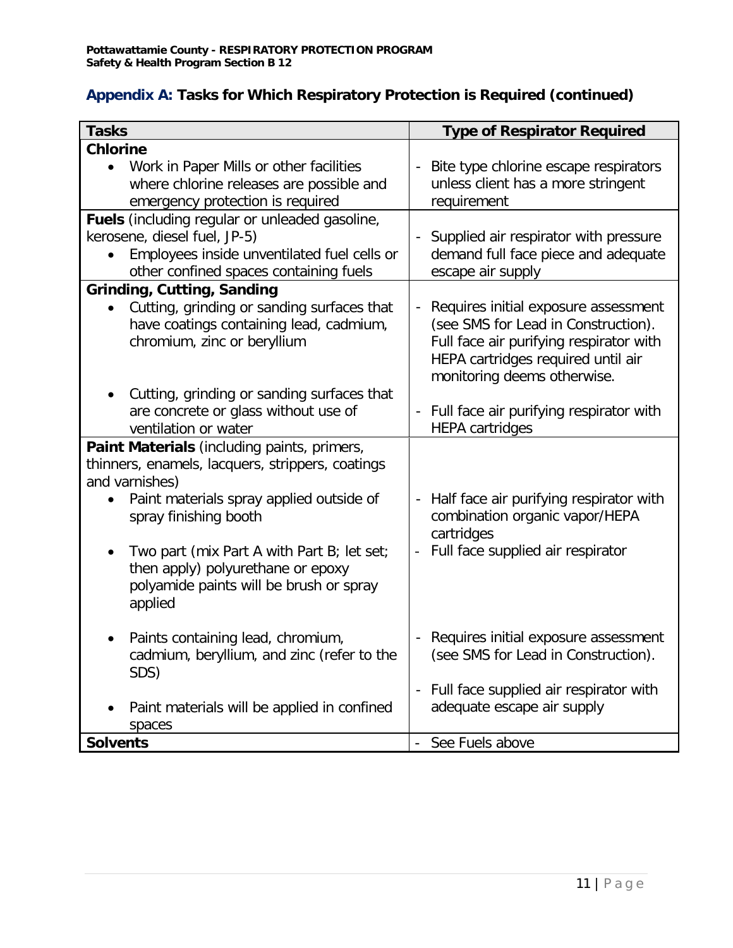# **Appendix A: Tasks for Which Respiratory Protection is Required (continued)**

| <b>Tasks</b>                                                                    | <b>Type of Respirator Required</b>                                            |
|---------------------------------------------------------------------------------|-------------------------------------------------------------------------------|
| <b>Chlorine</b>                                                                 |                                                                               |
| Work in Paper Mills or other facilities                                         | Bite type chlorine escape respirators                                         |
| where chlorine releases are possible and                                        | unless client has a more stringent                                            |
| emergency protection is required                                                | requirement                                                                   |
| Fuels (including regular or unleaded gasoline,                                  |                                                                               |
| kerosene, diesel fuel, JP-5)                                                    | - Supplied air respirator with pressure                                       |
| Employees inside unventilated fuel cells or                                     | demand full face piece and adequate                                           |
| other confined spaces containing fuels                                          | escape air supply                                                             |
| <b>Grinding, Cutting, Sanding</b>                                               |                                                                               |
| Cutting, grinding or sanding surfaces that                                      | Requires initial exposure assessment<br>$\sim$                                |
| have coatings containing lead, cadmium,                                         | (see SMS for Lead in Construction).                                           |
| chromium, zinc or beryllium                                                     | Full face air purifying respirator with                                       |
|                                                                                 | HEPA cartridges required until air                                            |
|                                                                                 | monitoring deems otherwise.                                                   |
| Cutting, grinding or sanding surfaces that                                      |                                                                               |
| are concrete or glass without use of                                            | - Full face air purifying respirator with                                     |
| ventilation or water                                                            | <b>HEPA</b> cartridges                                                        |
| Paint Materials (including paints, primers,                                     |                                                                               |
| thinners, enamels, lacquers, strippers, coatings                                |                                                                               |
| and varnishes)                                                                  |                                                                               |
| Paint materials spray applied outside of                                        | Half face air purifying respirator with                                       |
| spray finishing booth                                                           | combination organic vapor/HEPA                                                |
|                                                                                 | cartridges                                                                    |
| Two part (mix Part A with Part B; let set;                                      | Full face supplied air respirator                                             |
| then apply) polyurethane or epoxy                                               |                                                                               |
| polyamide paints will be brush or spray                                         |                                                                               |
| applied                                                                         |                                                                               |
|                                                                                 |                                                                               |
| Paints containing lead, chromium,<br>cadmium, beryllium, and zinc (refer to the | - Requires initial exposure assessment<br>(see SMS for Lead in Construction). |
| SDS)                                                                            |                                                                               |
|                                                                                 | - Full face supplied air respirator with                                      |
| Paint materials will be applied in confined                                     | adequate escape air supply                                                    |
| spaces                                                                          |                                                                               |
| <b>Solvents</b>                                                                 | - See Fuels above                                                             |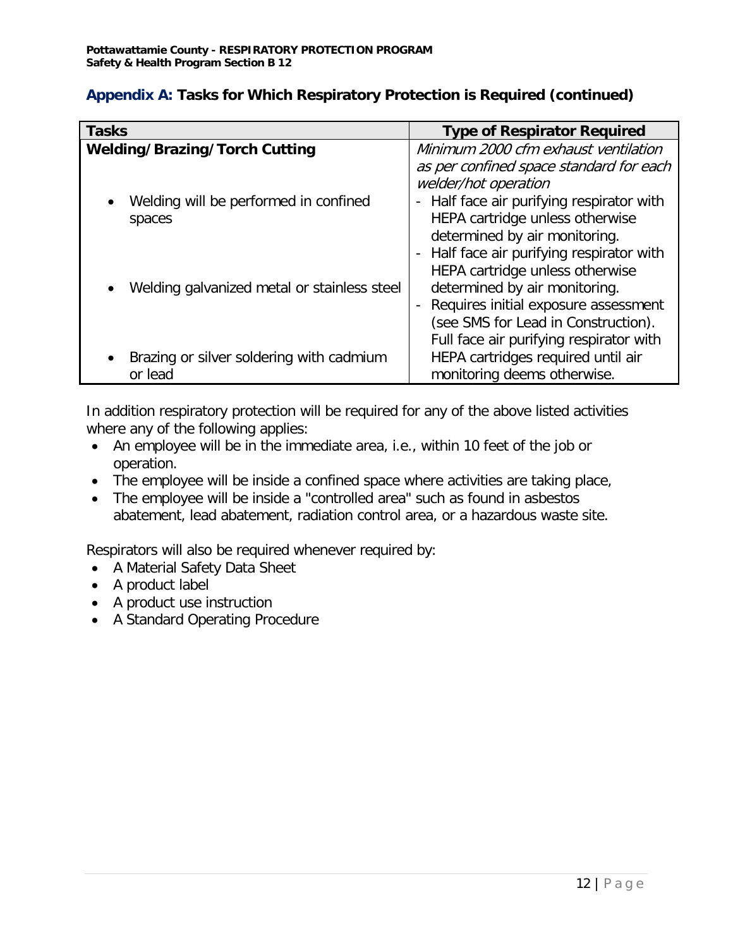| <b>Tasks</b>                                                 | <b>Type of Respirator Required</b>                                                                                                                                                                                                                |
|--------------------------------------------------------------|---------------------------------------------------------------------------------------------------------------------------------------------------------------------------------------------------------------------------------------------------|
| <b>Welding/Brazing/Torch Cutting</b>                         | Minimum 2000 cfm exhaust ventilation                                                                                                                                                                                                              |
| Welding will be performed in confined<br>$\bullet$<br>spaces | as per confined space standard for each<br>welder/hot operation<br>- Half face air purifying respirator with<br>HEPA cartridge unless otherwise<br>determined by air monitoring.                                                                  |
| Welding galvanized metal or stainless steel                  | - Half face air purifying respirator with<br>HEPA cartridge unless otherwise<br>determined by air monitoring.<br>Requires initial exposure assessment<br>$\sim$<br>(see SMS for Lead in Construction).<br>Full face air purifying respirator with |
| Brazing or silver soldering with cadmium<br>or lead          | HEPA cartridges required until air<br>monitoring deems otherwise.                                                                                                                                                                                 |

# **Appendix A: Tasks for Which Respiratory Protection is Required (continued)**

In addition respiratory protection will be required for any of the above listed activities where any of the following applies:

- An employee will be in the immediate area, i.e., within 10 feet of the job or operation.
- The employee will be inside a confined space where activities are taking place,
- The employee will be inside a "controlled area" such as found in asbestos abatement, lead abatement, radiation control area, or a hazardous waste site.

Respirators will also be required whenever required by:

- A Material Safety Data Sheet
- A product label
- A product use instruction
- A Standard Operating Procedure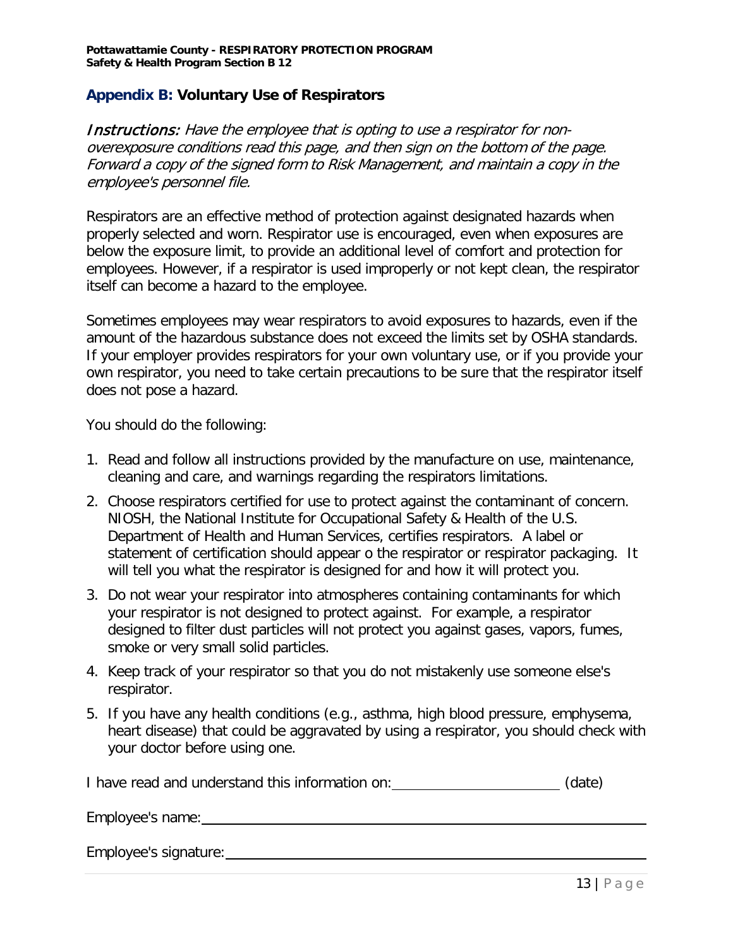### **Appendix B: Voluntary Use of Respirators**

Instructions: Have the employee that is opting to use a respirator for nonoverexposure conditions read this page, and then sign on the bottom of the page. Forward a copy of the signed form to Risk Management, and maintain a copy in the employee's personnel file.

Respirators are an effective method of protection against designated hazards when properly selected and worn. Respirator use is encouraged, even when exposures are below the exposure limit, to provide an additional level of comfort and protection for employees. However, if a respirator is used improperly or not kept clean, the respirator itself can become a hazard to the employee.

Sometimes employees may wear respirators to avoid exposures to hazards, even if the amount of the hazardous substance does not exceed the limits set by OSHA standards. If your employer provides respirators for your own voluntary use, or if you provide your own respirator, you need to take certain precautions to be sure that the respirator itself does not pose a hazard.

You should do the following:

- 1. Read and follow all instructions provided by the manufacture on use, maintenance, cleaning and care, and warnings regarding the respirators limitations.
- 2. Choose respirators certified for use to protect against the contaminant of concern. NIOSH, the National Institute for Occupational Safety & Health of the U.S. Department of Health and Human Services, certifies respirators. A label or statement of certification should appear o the respirator or respirator packaging. It will tell you what the respirator is designed for and how it will protect you.
- 3. Do not wear your respirator into atmospheres containing contaminants for which your respirator is not designed to protect against. For example, a respirator designed to filter dust particles will not protect you against gases, vapors, fumes, smoke or very small solid particles.
- 4. Keep track of your respirator so that you do not mistakenly use someone else's respirator.
- 5. If you have any health conditions (e.g., asthma, high blood pressure, emphysema, heart disease) that could be aggravated by using a respirator, you should check with your doctor before using one.

I have read and understand this information on: (date) (date)

Employee's name:

Employee's signature: example and the state of the state of the state of the state of the state of the state of the state of the state of the state of the state of the state of the state of the state of the state of the st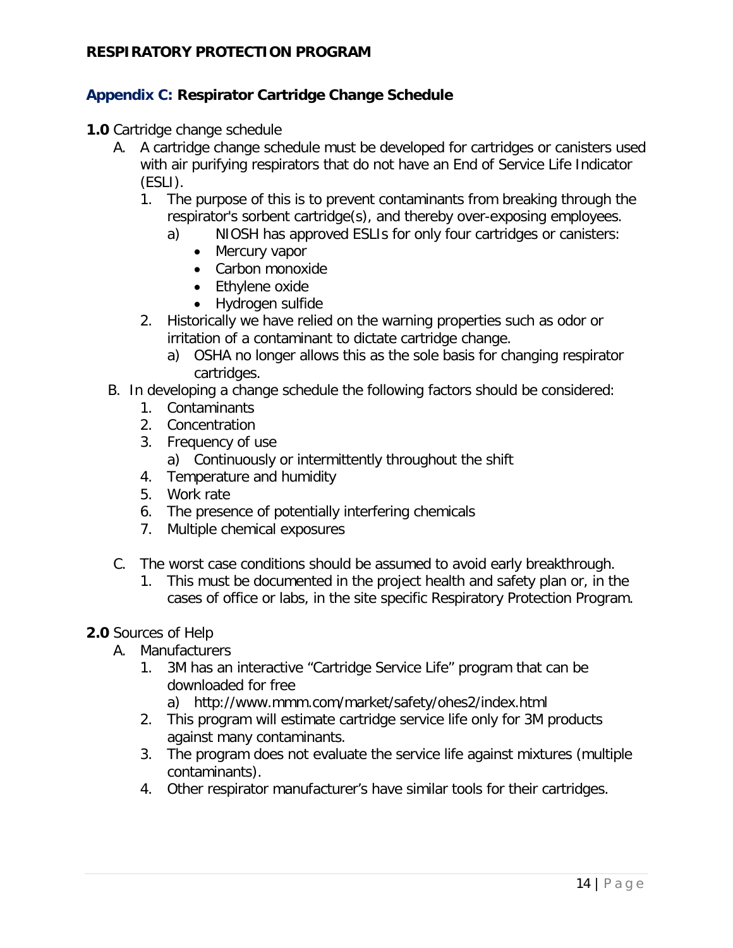# **Appendix C: Respirator Cartridge Change Schedule**

- **1.0** Cartridge change schedule
	- A. A cartridge change schedule must be developed for cartridges or canisters used with air purifying respirators that do not have an End of Service Life Indicator (ESLI).
		- 1. The purpose of this is to prevent contaminants from breaking through the respirator's sorbent cartridge(s), and thereby over-exposing employees.
			- a) NIOSH has approved ESLIs for only four cartridges or canisters:
				- Mercury vapor
				- Carbon monoxide
				- Ethylene oxide
				- Hydrogen sulfide
		- 2. Historically we have relied on the warning properties such as odor or irritation of a contaminant to dictate cartridge change.
			- a) OSHA no longer allows this as the sole basis for changing respirator cartridges.
	- B. In developing a change schedule the following factors should be considered:
		- 1. Contaminants
		- 2. Concentration
		- 3. Frequency of use
			- a) Continuously or intermittently throughout the shift
		- 4. Temperature and humidity
		- 5. Work rate
		- 6. The presence of potentially interfering chemicals
		- 7. Multiple chemical exposures
	- C. The worst case conditions should be assumed to avoid early breakthrough.
		- 1. This must be documented in the project health and safety plan or, in the cases of office or labs, in the site specific Respiratory Protection Program.

## **2.0** Sources of Help

- A. Manufacturers
	- 1. 3M has an interactive "Cartridge Service Life" program that can be downloaded for free
		- a) http://www.mmm.com/market/safety/ohes2/index.html
	- 2. This program will estimate cartridge service life only for 3M products against many contaminants.
	- 3. The program does not evaluate the service life against mixtures (multiple contaminants).
	- 4. Other respirator manufacturer's have similar tools for their cartridges.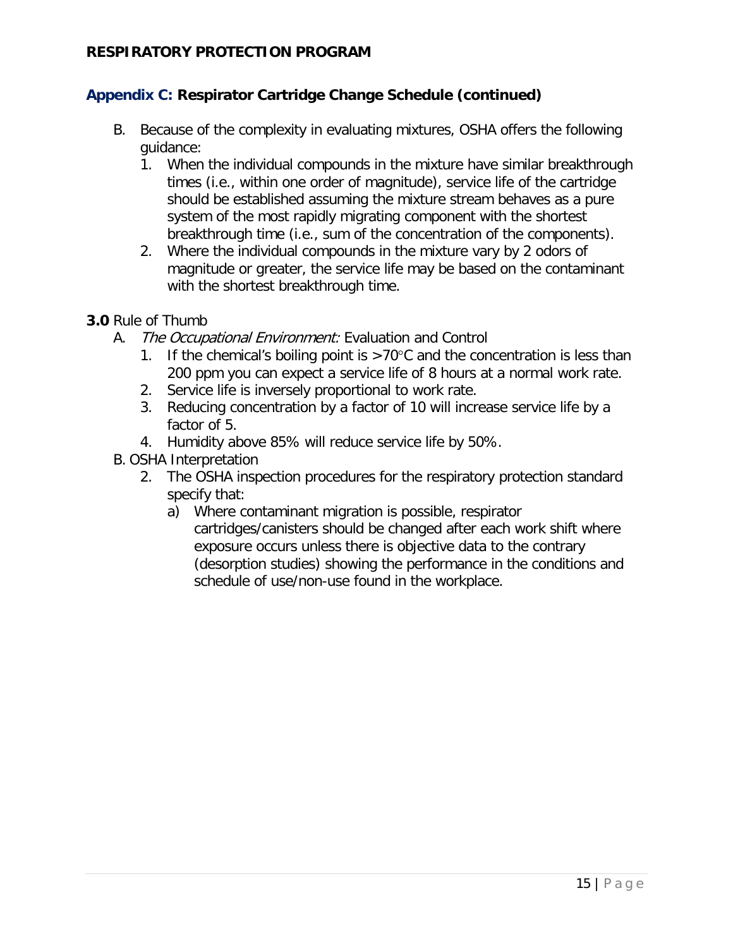# **Appendix C: Respirator Cartridge Change Schedule (continued)**

- B. Because of the complexity in evaluating mixtures, OSHA offers the following guidance:
	- 1. When the individual compounds in the mixture have similar breakthrough times (i.e., within one order of magnitude), service life of the cartridge should be established assuming the mixture stream behaves as a pure system of the most rapidly migrating component with the shortest breakthrough time (i.e., sum of the concentration of the components).
	- 2. Where the individual compounds in the mixture vary by 2 odors of magnitude or greater, the service life may be based on the contaminant with the shortest breakthrough time.
- **3.0** Rule of Thumb
	- A. The Occupational Environment: Evaluation and Control
		- 1. If the chemical's boiling point is  $>70^{\circ}$ C and the concentration is less than 200 ppm you can expect a service life of 8 hours at a normal work rate.
		- 2. Service life is inversely proportional to work rate.
		- 3. Reducing concentration by a factor of 10 will increase service life by a factor of 5.
		- 4. Humidity above 85% will reduce service life by 50%.
	- B. OSHA Interpretation
		- 2. The OSHA inspection procedures for the respiratory protection standard specify that:
			- a) Where contaminant migration is possible, respirator cartridges/canisters should be changed after each work shift where exposure occurs unless there is objective data to the contrary (desorption studies) showing the performance in the conditions and schedule of use/non-use found in the workplace.